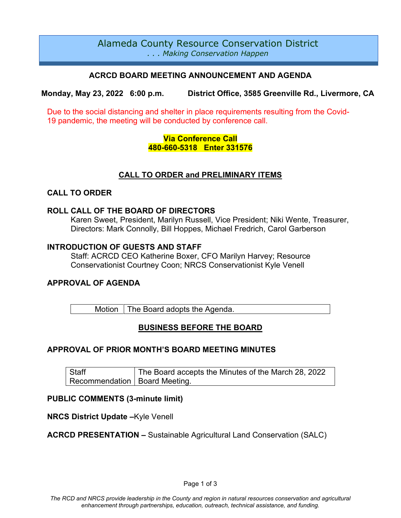# Alameda County Resource Conservation District *. . . Making Conservation Happen*

## **ACRCD BOARD MEETING ANNOUNCEMENT AND AGENDA**

**Monday, May 23, 2022 6:00 p.m. District Office, 3585 Greenville Rd., Livermore, CA**

Due to the social distancing and shelter in place requirements resulting from the Covid-19 pandemic, the meeting will be conducted by conference call.

## **Via Conference Call 480-660-5318 Enter 331576**

## **CALL TO ORDER and PRELIMINARY ITEMS**

## **CALL TO ORDER**

### **ROLL CALL OF THE BOARD OF DIRECTORS**

Karen Sweet, President, Marilyn Russell, Vice President; Niki Wente, Treasurer, Directors: Mark Connolly, Bill Hoppes, Michael Fredrich, Carol Garberson

### **INTRODUCTION OF GUESTS AND STAFF**

Staff: ACRCD CEO Katherine Boxer, CFO Marilyn Harvey; Resource Conservationist Courtney Coon; NRCS Conservationist Kyle Venell

## **APPROVAL OF AGENDA**

Motion  $\vert$  The Board adopts the Agenda.

## **BUSINESS BEFORE THE BOARD**

## **APPROVAL OF PRIOR MONTH'S BOARD MEETING MINUTES**

**Staff** Recommendation The Board accepts the Minutes of the March 28, 2022 Board Meeting.

## **PUBLIC COMMENTS (3-minute limit)**

**NRCS District Update –**Kyle Venell

## **ACRCD PRESENTATION –** Sustainable Agricultural Land Conservation (SALC)

Page 1 of 3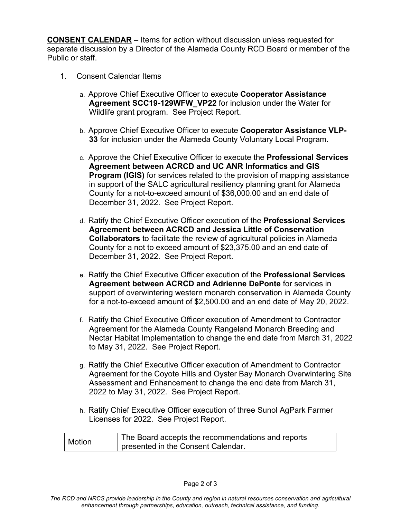**CONSENT CALENDAR** – Items for action without discussion unless requested for separate discussion by a Director of the Alameda County RCD Board or member of the Public or staff.

- 1. Consent Calendar Items
	- a. Approve Chief Executive Officer to execute **Cooperator Assistance Agreement SCC19-129WFW\_VP22** for inclusion under the Water for Wildlife grant program. See Project Report.
	- b. Approve Chief Executive Officer to execute **Cooperator Assistance VLP-33** for inclusion under the Alameda County Voluntary Local Program.
	- c. Approve the Chief Executive Officer to execute the **Professional Services Agreement between ACRCD and UC ANR Informatics and GIS Program (IGIS)** for services related to the provision of mapping assistance in support of the SALC agricultural resiliency planning grant for Alameda County for a not-to-exceed amount of \$36,000.00 and an end date of December 31, 2022. See Project Report.
	- d. Ratify the Chief Executive Officer execution of the **Professional Services Agreement between ACRCD and Jessica Little of Conservation Collaborators** to facilitate the review of agricultural policies in Alameda County for a not to exceed amount of \$23,375.00 and an end date of December 31, 2022. See Project Report.
	- e. Ratify the Chief Executive Officer execution of the **Professional Services Agreement between ACRCD and Adrienne DePonte** for services in support of overwintering western monarch conservation in Alameda County for a not-to-exceed amount of \$2,500.00 and an end date of May 20, 2022.
	- f. Ratify the Chief Executive Officer execution of Amendment to Contractor Agreement for the Alameda County Rangeland Monarch Breeding and Nectar Habitat Implementation to change the end date from March 31, 2022 to May 31, 2022. See Project Report.
	- g. Ratify the Chief Executive Officer execution of Amendment to Contractor Agreement for the Coyote Hills and Oyster Bay Monarch Overwintering Site Assessment and Enhancement to change the end date from March 31, 2022 to May 31, 2022. See Project Report.
	- h. Ratify Chief Executive Officer execution of three Sunol AgPark Farmer Licenses for 2022. See Project Report.

Motion The Board accepts the recommendations and reports presented in the Consent Calendar.